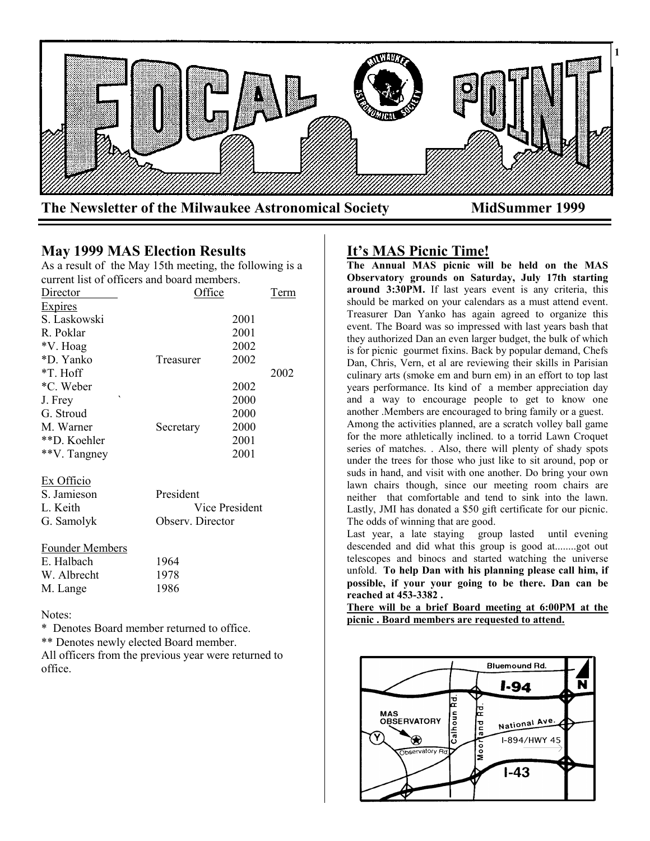

## **May 1999 MAS Election Results**

As a result of the May 15th meeting, the following is a current list of officers and board members.

| Director     | Office    |      | Term |
|--------------|-----------|------|------|
| Expires      |           |      |      |
| S Laskowski  |           | 2001 |      |
| R. Poklar    |           | 2001 |      |
| *V. Hoag     |           | 2002 |      |
| *D. Yanko    | Treasurer | 2002 |      |
| $*T$ . Hoff  |           |      | 2002 |
| *C. Weber    |           | 2002 |      |
| ۰<br>J. Frey |           | 2000 |      |
| G. Stroud    |           | 2000 |      |
| M. Warner    | Secretary | 2000 |      |
| **D. Koehler |           | 2001 |      |
| **V. Tangney |           | 2001 |      |
| Ex Officio   |           |      |      |

| S. Jamieson | President        |
|-------------|------------------|
| L. Keith    | Vice President   |
| G. Samolyk  | Observ. Director |

#### Founder Members

| E. Halbach  | 1964 |
|-------------|------|
| W. Albrecht | 1978 |
| M. Lange    | 1986 |

#### Notes:

\* Denotes Board member returned to office.

\*\* Denotes newly elected Board member.

All officers from the previous year were returned to office.

## **It's MAS Picnic Time!**

**The Annual MAS picnic will be held on the MAS Observatory grounds on Saturday, July 17th starting around 3:30PM.** If last years event is any criteria, this should be marked on your calendars as a must attend event. Treasurer Dan Yanko has again agreed to organize this event. The Board was so impressed with last years bash that they authorized Dan an even larger budget, the bulk of which is for picnic gourmet fixins. Back by popular demand, Chefs Dan, Chris, Vern, et al are reviewing their skills in Parisian culinary arts (smoke em and burn em) in an effort to top last years performance. Its kind of a member appreciation day and a way to encourage people to get to know one another .Members are encouraged to bring family or a guest. Among the activities planned, are a scratch volley ball game for the more athletically inclined. to a torrid Lawn Croquet series of matches. . Also, there will plenty of shady spots under the trees for those who just like to sit around, pop or suds in hand, and visit with one another. Do bring your own lawn chairs though, since our meeting room chairs are neither that comfortable and tend to sink into the lawn. Lastly, JMI has donated a \$50 gift certificate for our picnic. The odds of winning that are good.

Last year, a late staying group lasted until evening descended and did what this group is good at........got out telescopes and binocs and started watching the universe unfold. **To help Dan with his planning please call him, if possible, if your your going to be there. Dan can be reached at 453-3382 .**

**There will be a brief Board meeting at 6:00PM at the picnic . Board members are requested to attend.**

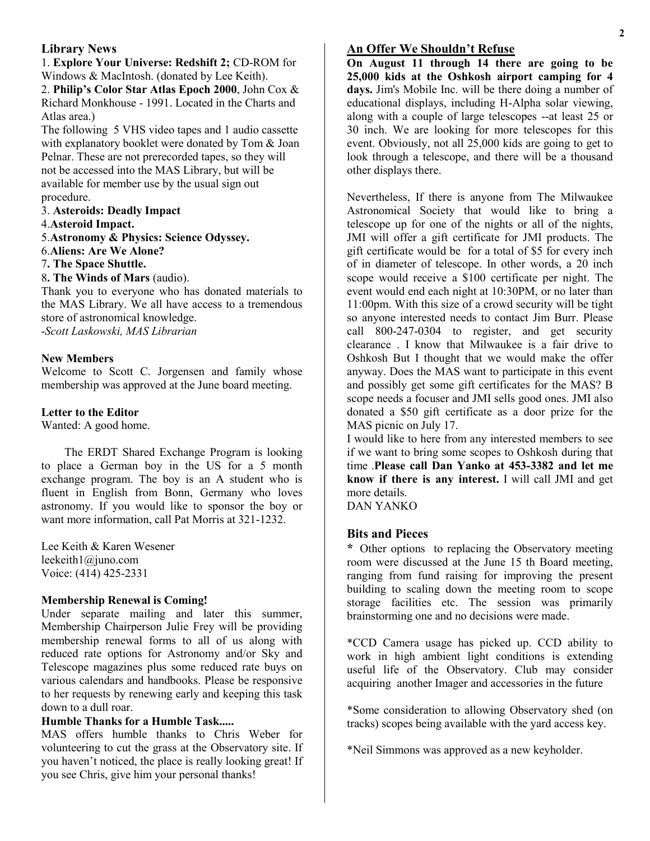## **Library News**

1. **Explore Your Universe: Redshift 2;** CD-ROM for Windows & MacIntosh. (donated by Lee Keith). 2. **Philip's Color Star Atlas Epoch 2000**, John Cox & Richard Monkhouse - 1991. Located in the Charts and Atlas area.)

The following 5 VHS video tapes and 1 audio cassette with explanatory booklet were donated by Tom & Joan Pelnar. These are not prerecorded tapes, so they will not be accessed into the MAS Library, but will be available for member use by the usual sign out procedure.

3. **Asteroids: Deadly Impact**

4.**Asteroid Impact.**

5.**Astronomy & Physics: Science Odyssey.**

6.**Aliens: Are We Alone?**

7**. The Space Shuttle.**

8**. The Winds of Mars** (audio).

Thank you to everyone who has donated materials to the MAS Library. We all have access to a tremendous store of astronomical knowledge. -*Scott Laskowski, MAS Librarian*

**New Members**

Welcome to Scott C. Jorgensen and family whose membership was approved at the June board meeting.

## **Letter to the Editor**

Wanted: A good home.

 The ERDT Shared Exchange Program is looking to place a German boy in the US for a 5 month exchange program. The boy is an A student who is fluent in English from Bonn, Germany who loves astronomy. If you would like to sponsor the boy or want more information, call Pat Morris at 321-1232.

Lee Keith & Karen Wesener leekeith1@juno.com Voice: (414) 425-2331

## **Membership Renewal is Coming!**

Under separate mailing and later this summer, Membership Chairperson Julie Frey will be providing membership renewal forms to all of us along with reduced rate options for Astronomy and/or Sky and Telescope magazines plus some reduced rate buys on various calendars and handbooks. Please be responsive to her requests by renewing early and keeping this task down to a dull roar.

## **Humble Thanks for a Humble Task.....**

MAS offers humble thanks to Chris Weber for volunteering to cut the grass at the Observatory site. If you haven't noticed, the place is really looking great! If you see Chris, give him your personal thanks!

## **An Offer We Shouldn't Refuse**

**On August 11 through 14 there are going to be 25,000 kids at the Oshkosh airport camping for 4 days.** Jim's Mobile Inc. will be there doing a number of educational displays, including H-Alpha solar viewing, along with a couple of large telescopes --at least 25 or 30 inch. We are looking for more telescopes for this event. Obviously, not all 25,000 kids are going to get to look through a telescope, and there will be a thousand other displays there.

Nevertheless, If there is anyone from The Milwaukee Astronomical Society that would like to bring a telescope up for one of the nights or all of the nights, JMI will offer a gift certificate for JMI products. The gift certificate would be for a total of \$5 for every inch of in diameter of telescope. In other words, a 20 inch scope would receive a \$100 certificate per night. The event would end each night at 10:30PM, or no later than 11:00pm. With this size of a crowd security will be tight so anyone interested needs to contact Jim Burr. Please call 800-247-0304 to register, and get security clearance . I know that Milwaukee is a fair drive to Oshkosh But I thought that we would make the offer anyway. Does the MAS want to participate in this event and possibly get some gift certificates for the MAS? B scope needs a focuser and JMI sells good ones. JMI also donated a \$50 gift certificate as a door prize for the MAS picnic on July 17.

I would like to here from any interested members to see if we want to bring some scopes to Oshkosh during that time .**Please call Dan Yanko at 453-3382 and let me know if there is any interest.** I will call JMI and get more details.

DAN YANKO

## **Bits and Pieces**

**\*** Other options to replacing the Observatory meeting room were discussed at the June 15 th Board meeting, ranging from fund raising for improving the present building to scaling down the meeting room to scope storage facilities etc. The session was primarily brainstorming one and no decisions were made.

\*CCD Camera usage has picked up. CCD ability to work in high ambient light conditions is extending useful life of the Observatory. Club may consider acquiring another Imager and accessories in the future

\*Some consideration to allowing Observatory shed (on tracks) scopes being available with the yard access key.

\*Neil Simmons was approved as a new keyholder.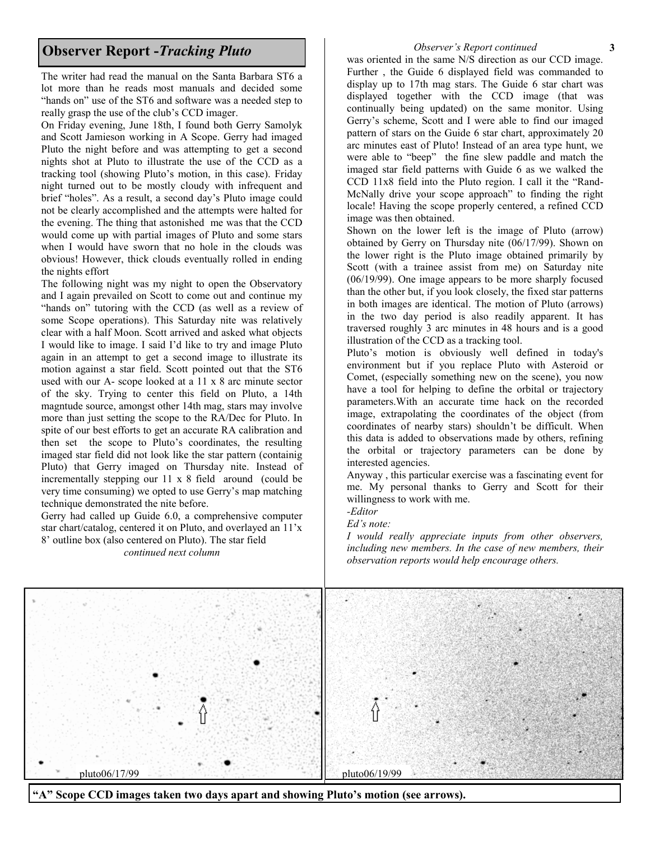# **Observer Report -***Tracking Pluto*

The writer had read the manual on the Santa Barbara ST6 a lot more than he reads most manuals and decided some "hands on" use of the ST6 and software was a needed step to really grasp the use of the club's CCD imager.

On Friday evening, June 18th, I found both Gerry Samolyk and Scott Jamieson working in A Scope. Gerry had imaged Pluto the night before and was attempting to get a second nights shot at Pluto to illustrate the use of the CCD as a tracking tool (showing Pluto's motion, in this case). Friday night turned out to be mostly cloudy with infrequent and brief "holes". As a result, a second day's Pluto image could not be clearly accomplished and the attempts were halted for the evening. The thing that astonished me was that the CCD would come up with partial images of Pluto and some stars when I would have sworn that no hole in the clouds was obvious! However, thick clouds eventually rolled in ending the nights effort

The following night was my night to open the Observatory and I again prevailed on Scott to come out and continue my "hands on" tutoring with the CCD (as well as a review of some Scope operations). This Saturday nite was relatively clear with a half Moon. Scott arrived and asked what objects I would like to image. I said I'd like to try and image Pluto again in an attempt to get a second image to illustrate its motion against a star field. Scott pointed out that the ST6 used with our A- scope looked at a 11 x 8 arc minute sector of the sky. Trying to center this field on Pluto, a 14th magntude source, amongst other 14th mag, stars may involve more than just setting the scope to the RA/Dec for Pluto. In spite of our best efforts to get an accurate RA calibration and then set the scope to Pluto's coordinates, the resulting imaged star field did not look like the star pattern (containig Pluto) that Gerry imaged on Thursday nite. Instead of incrementally stepping our 11 x 8 field around (could be very time consuming) we opted to use Gerry's map matching technique demonstrated the nite before.

Gerry had called up Guide 6.0, a comprehensive computer star chart/catalog, centered it on Pluto, and overlayed an 11'x 8' outline box (also centered on Pluto). The star field *continued next column*

#### *Observer's Report continued* **3**

was oriented in the same N/S direction as our CCD image. Further , the Guide 6 displayed field was commanded to display up to 17th mag stars. The Guide 6 star chart was displayed together with the CCD image (that was continually being updated) on the same monitor. Using Gerry's scheme, Scott and I were able to find our imaged pattern of stars on the Guide 6 star chart, approximately 20 arc minutes east of Pluto! Instead of an area type hunt, we were able to "beep" the fine slew paddle and match the imaged star field patterns with Guide 6 as we walked the CCD 11x8 field into the Pluto region. I call it the "Rand-McNally drive your scope approach" to finding the right locale! Having the scope properly centered, a refined CCD image was then obtained.

Shown on the lower left is the image of Pluto (arrow) obtained by Gerry on Thursday nite (06/17/99). Shown on the lower right is the Pluto image obtained primarily by Scott (with a trainee assist from me) on Saturday nite (06/19/99). One image appears to be more sharply focused than the other but, if you look closely, the fixed star patterns in both images are identical. The motion of Pluto (arrows) in the two day period is also readily apparent. It has traversed roughly 3 arc minutes in 48 hours and is a good illustration of the CCD as a tracking tool.

Pluto's motion is obviously well defined in today's environment but if you replace Pluto with Asteroid or Comet, (especially something new on the scene), you now have a tool for helping to define the orbital or trajectory parameters.With an accurate time hack on the recorded image, extrapolating the coordinates of the object (from coordinates of nearby stars) shouldn't be difficult. When this data is added to observations made by others, refining the orbital or trajectory parameters can be done by interested agencies.

Anyway , this particular exercise was a fascinating event for me. My personal thanks to Gerry and Scott for their willingness to work with me.

*-Editor*

*Ed's note:*

*I would really appreciate inputs from other observers, including new members. In the case of new members, their observation reports would help encourage others.* 



**"A" Scope CCD images taken two days apart and showing Pluto's motion (see arrows).**